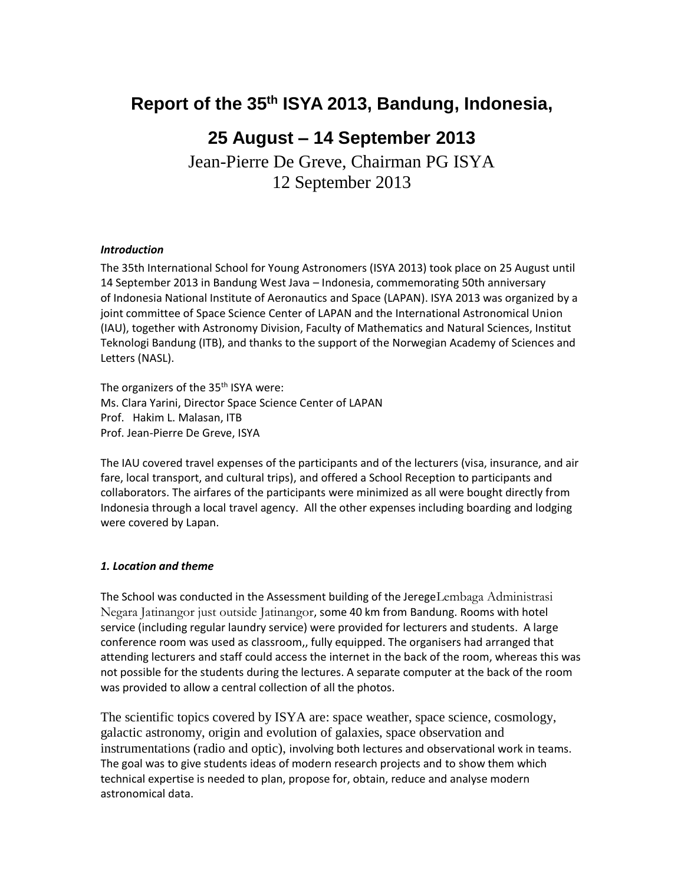# **Report of the 35 th ISYA 2013, Bandung, Indonesia,**

# **25 August – 14 September 2013**

Jean-Pierre De Greve, Chairman PG ISYA 12 September 2013

#### *Introduction*

The 35th International School for Young Astronomers (ISYA 2013) took place on 25 August until 14 September 2013 in Bandung West Java – Indonesia, commemorating 50th anniversary of Indonesia National Institute of Aeronautics and Space (LAPAN). ISYA 2013 was organized by a joint committee of Space Science Center of LAPAN and the International Astronomical Union (IAU), together with Astronomy Division, Faculty of Mathematics and Natural Sciences, Institut Teknologi Bandung (ITB), and thanks to the support of the Norwegian Academy of Sciences and Letters (NASL).

The organizers of the 35<sup>th</sup> ISYA were: Ms. Clara Yarini, Director Space Science Center of LAPAN Prof. Hakim L. Malasan, ITB Prof. Jean-Pierre De Greve, ISYA

The IAU covered travel expenses of the participants and of the lecturers (visa, insurance, and air fare, local transport, and cultural trips), and offered a School Reception to participants and collaborators. The airfares of the participants were minimized as all were bought directly from Indonesia through a local travel agency. All the other expenses including boarding and lodging were covered by Lapan.

#### *1. Location and theme*

The School was conducted in the Assessment building of the JeregeLembaga Administrasi Negara Jatinangor just outside Jatinangor, some 40 km from Bandung. Rooms with hotel service (including regular laundry service) were provided for lecturers and students. A large conference room was used as classroom,, fully equipped. The organisers had arranged that attending lecturers and staff could access the internet in the back of the room, whereas this was not possible for the students during the lectures. A separate computer at the back of the room was provided to allow a central collection of all the photos.

The scientific topics covered by ISYA are: space weather, space science, cosmology, galactic astronomy, origin and evolution of galaxies, space observation and instrumentations (radio and optic), involving both lectures and observational work in teams. The goal was to give students ideas of modern research projects and to show them which technical expertise is needed to plan, propose for, obtain, reduce and analyse modern astronomical data.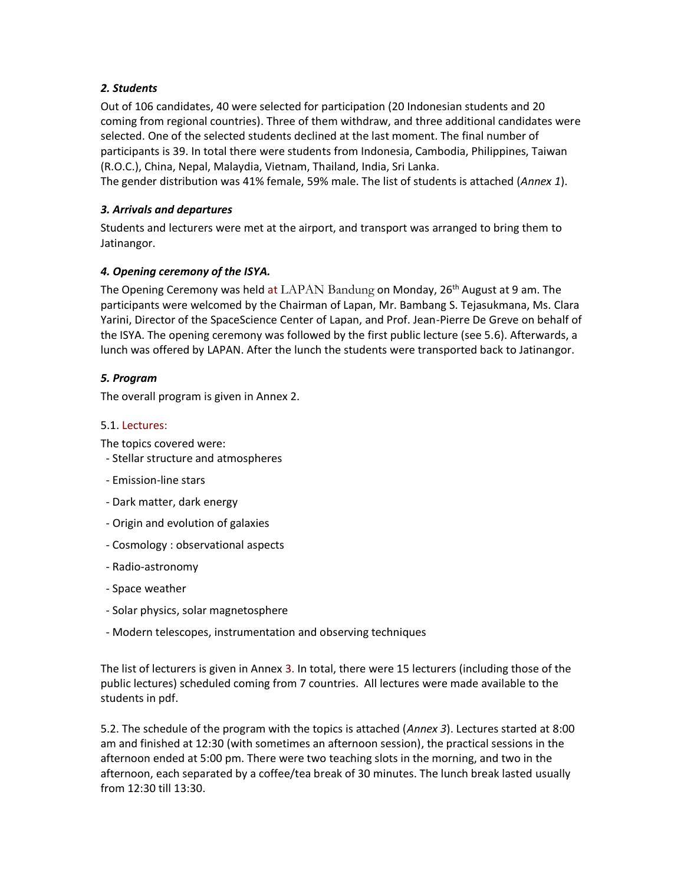# *2. Students*

Out of 106 candidates, 40 were selected for participation (20 Indonesian students and 20 coming from regional countries). Three of them withdraw, and three additional candidates were selected. One of the selected students declined at the last moment. The final number of participants is 39. In total there were students from Indonesia, Cambodia, Philippines, Taiwan (R.O.C.), China, Nepal, Malaydia, Vietnam, Thailand, India, Sri Lanka.

The gender distribution was 41% female, 59% male. The list of students is attached (*Annex 1*).

## *3. Arrivals and departures*

Students and lecturers were met at the airport, and transport was arranged to bring them to Jatinangor.

## *4. Opening ceremony of the ISYA.*

The Opening Ceremony was held at  $\text{LAPAN}$  Bandung on Monday, 26<sup>th</sup> August at 9 am. The participants were welcomed by the Chairman of Lapan, Mr. Bambang S. Tejasukmana, Ms. Clara Yarini, Director of the SpaceScience Center of Lapan, and Prof. Jean-Pierre De Greve on behalf of the ISYA. The opening ceremony was followed by the first public lecture (see 5.6). Afterwards, a lunch was offered by LAPAN. After the lunch the students were transported back to Jatinangor.

## *5. Program*

The overall program is given in Annex 2.

#### 5.1. Lectures:

The topics covered were:

- Stellar structure and atmospheres
- Emission-line stars
- Dark matter, dark energy
- Origin and evolution of galaxies
- Cosmology : observational aspects
- Radio-astronomy
- Space weather
- Solar physics, solar magnetosphere
- Modern telescopes, instrumentation and observing techniques

The list of lecturers is given in Annex 3. In total, there were 15 lecturers (including those of the public lectures) scheduled coming from 7 countries. All lectures were made available to the students in pdf.

5.2. The schedule of the program with the topics is attached (*Annex 3*). Lectures started at 8:00 am and finished at 12:30 (with sometimes an afternoon session), the practical sessions in the afternoon ended at 5:00 pm. There were two teaching slots in the morning, and two in the afternoon, each separated by a coffee/tea break of 30 minutes. The lunch break lasted usually from 12:30 till 13:30.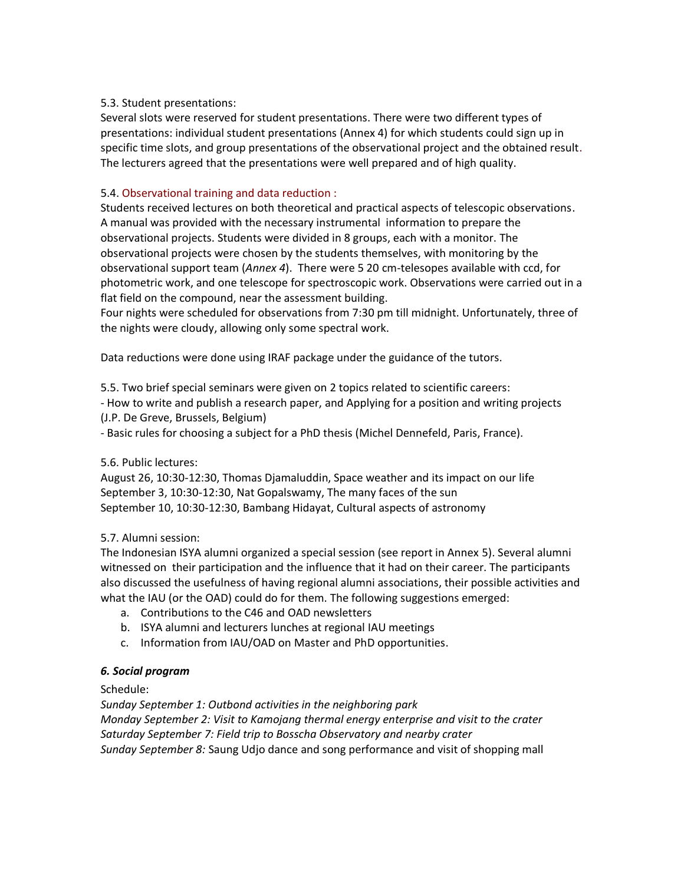## 5.3. Student presentations:

Several slots were reserved for student presentations. There were two different types of presentations: individual student presentations (Annex 4) for which students could sign up in specific time slots, and group presentations of the observational project and the obtained result. The lecturers agreed that the presentations were well prepared and of high quality.

# 5.4. Observational training and data reduction :

Students received lectures on both theoretical and practical aspects of telescopic observations. A manual was provided with the necessary instrumental information to prepare the observational projects. Students were divided in 8 groups, each with a monitor. The observational projects were chosen by the students themselves, with monitoring by the observational support team (*Annex 4*). There were 5 20 cm-telesopes available with ccd, for photometric work, and one telescope for spectroscopic work. Observations were carried out in a flat field on the compound, near the assessment building.

Four nights were scheduled for observations from 7:30 pm till midnight. Unfortunately, three of the nights were cloudy, allowing only some spectral work.

Data reductions were done using IRAF package under the guidance of the tutors.

5.5. Two brief special seminars were given on 2 topics related to scientific careers:

- How to write and publish a research paper, and Applying for a position and writing projects (J.P. De Greve, Brussels, Belgium)

- Basic rules for choosing a subject for a PhD thesis (Michel Dennefeld, Paris, France).

# 5.6. Public lectures:

August 26, 10:30-12:30, Thomas Djamaluddin, Space weather and its impact on our life September 3, 10:30-12:30, Nat Gopalswamy, The many faces of the sun September 10, 10:30-12:30, Bambang Hidayat, Cultural aspects of astronomy

#### 5.7. Alumni session:

The Indonesian ISYA alumni organized a special session (see report in Annex 5). Several alumni witnessed on their participation and the influence that it had on their career. The participants also discussed the usefulness of having regional alumni associations, their possible activities and what the IAU (or the OAD) could do for them. The following suggestions emerged:

- a. Contributions to the C46 and OAD newsletters
- b. ISYA alumni and lecturers lunches at regional IAU meetings
- c. Information from IAU/OAD on Master and PhD opportunities.

# *6. Social program*

#### Schedule:

*Sunday September 1: Outbond activities in the neighboring park Monday September 2: Visit to Kamojang thermal energy enterprise and visit to the crater Saturday September 7: Field trip to Bosscha Observatory and nearby crater Sunday September 8:* Saung Udjo dance and song performance and visit of shopping mall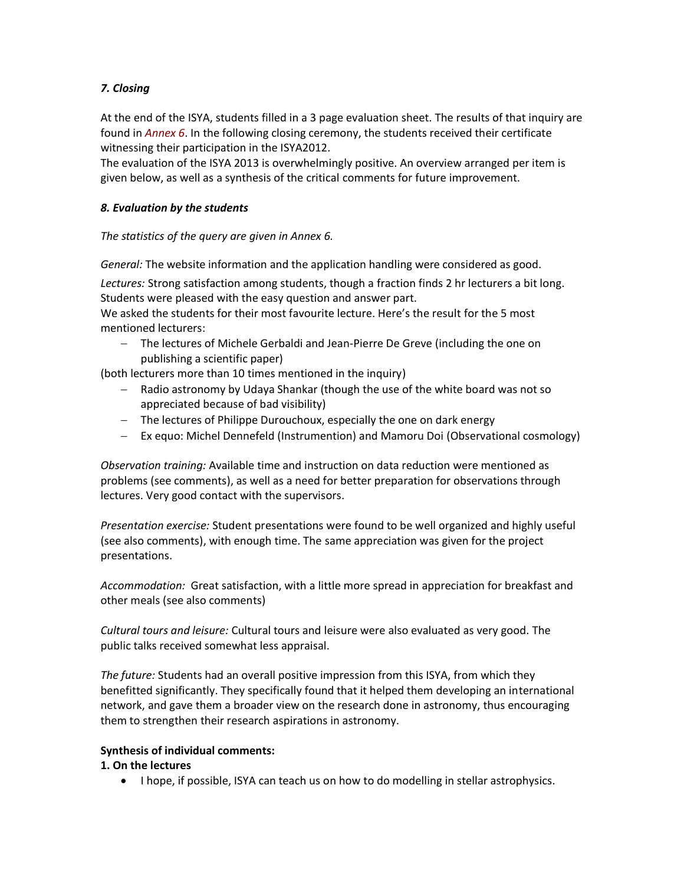# *7. Closing*

At the end of the ISYA, students filled in a 3 page evaluation sheet. The results of that inquiry are found in *Annex 6*. In the following closing ceremony, the students received their certificate witnessing their participation in the ISYA2012.

The evaluation of the ISYA 2013 is overwhelmingly positive. An overview arranged per item is given below, as well as a synthesis of the critical comments for future improvement.

#### *8. Evaluation by the students*

## *The statistics of the query are given in Annex 6.*

*General:* The website information and the application handling were considered as good.

*Lectures:* Strong satisfaction among students, though a fraction finds 2 hr lecturers a bit long. Students were pleased with the easy question and answer part.

We asked the students for their most favourite lecture. Here's the result for the 5 most mentioned lecturers:

 The lectures of Michele Gerbaldi and Jean-Pierre De Greve (including the one on publishing a scientific paper)

(both lecturers more than 10 times mentioned in the inquiry)

- Radio astronomy by Udaya Shankar (though the use of the white board was not so appreciated because of bad visibility)
- The lectures of Philippe Durouchoux, especially the one on dark energy
- Ex equo: Michel Dennefeld (Instrumention) and Mamoru Doi (Observational cosmology)

*Observation training:* Available time and instruction on data reduction were mentioned as problems (see comments), as well as a need for better preparation for observations through lectures. Very good contact with the supervisors.

*Presentation exercise:* Student presentations were found to be well organized and highly useful (see also comments), with enough time. The same appreciation was given for the project presentations.

*Accommodation:* Great satisfaction, with a little more spread in appreciation for breakfast and other meals (see also comments)

*Cultural tours and leisure:* Cultural tours and leisure were also evaluated as very good. The public talks received somewhat less appraisal.

*The future:* Students had an overall positive impression from this ISYA, from which they benefitted significantly. They specifically found that it helped them developing an international network, and gave them a broader view on the research done in astronomy, thus encouraging them to strengthen their research aspirations in astronomy.

#### **Synthesis of individual comments:**

#### **1. On the lectures**

• I hope, if possible, ISYA can teach us on how to do modelling in stellar astrophysics.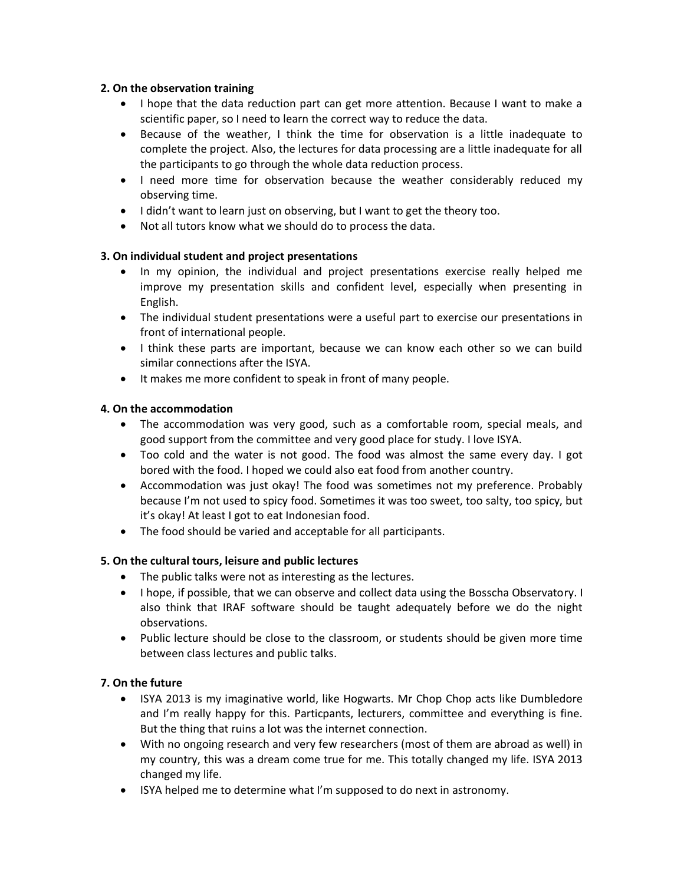#### **2. On the observation training**

- I hope that the data reduction part can get more attention. Because I want to make a scientific paper, so I need to learn the correct way to reduce the data.
- Because of the weather, I think the time for observation is a little inadequate to complete the project. Also, the lectures for data processing are a little inadequate for all the participants to go through the whole data reduction process.
- I need more time for observation because the weather considerably reduced my observing time.
- I didn't want to learn just on observing, but I want to get the theory too.
- Not all tutors know what we should do to process the data.

# **3. On individual student and project presentations**

- In my opinion, the individual and project presentations exercise really helped me improve my presentation skills and confident level, especially when presenting in English.
- The individual student presentations were a useful part to exercise our presentations in front of international people.
- I think these parts are important, because we can know each other so we can build similar connections after the ISYA.
- It makes me more confident to speak in front of many people.

# **4. On the accommodation**

- The accommodation was very good, such as a comfortable room, special meals, and good support from the committee and very good place for study. I love ISYA.
- Too cold and the water is not good. The food was almost the same every day. I got bored with the food. I hoped we could also eat food from another country.
- Accommodation was just okay! The food was sometimes not my preference. Probably because I'm not used to spicy food. Sometimes it was too sweet, too salty, too spicy, but it's okay! At least I got to eat Indonesian food.
- The food should be varied and acceptable for all participants.

# **5. On the cultural tours, leisure and public lectures**

- The public talks were not as interesting as the lectures.
- I hope, if possible, that we can observe and collect data using the Bosscha Observatory. I also think that IRAF software should be taught adequately before we do the night observations.
- Public lecture should be close to the classroom, or students should be given more time between class lectures and public talks.

# **7. On the future**

- ISYA 2013 is my imaginative world, like Hogwarts. Mr Chop Chop acts like Dumbledore and I'm really happy for this. Particpants, lecturers, committee and everything is fine. But the thing that ruins a lot was the internet connection.
- With no ongoing research and very few researchers (most of them are abroad as well) in my country, this was a dream come true for me. This totally changed my life. ISYA 2013 changed my life.
- ISYA helped me to determine what I'm supposed to do next in astronomy.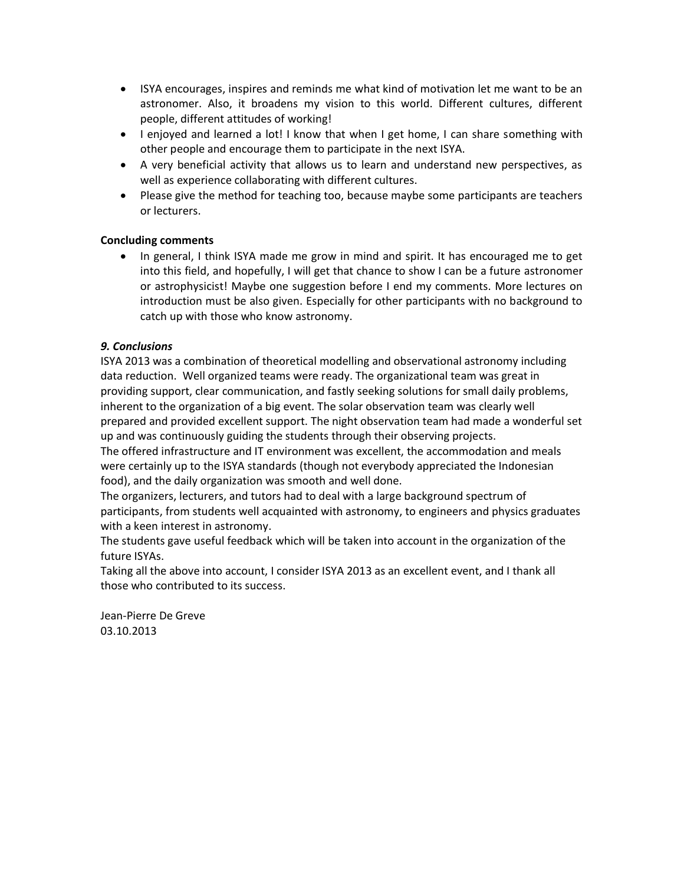- ISYA encourages, inspires and reminds me what kind of motivation let me want to be an astronomer. Also, it broadens my vision to this world. Different cultures, different people, different attitudes of working!
- I enjoyed and learned a lot! I know that when I get home, I can share something with other people and encourage them to participate in the next ISYA.
- A very beneficial activity that allows us to learn and understand new perspectives, as well as experience collaborating with different cultures.
- Please give the method for teaching too, because maybe some participants are teachers or lecturers.

## **Concluding comments**

• In general, I think ISYA made me grow in mind and spirit. It has encouraged me to get into this field, and hopefully, I will get that chance to show I can be a future astronomer or astrophysicist! Maybe one suggestion before I end my comments. More lectures on introduction must be also given. Especially for other participants with no background to catch up with those who know astronomy.

## *9. Conclusions*

ISYA 2013 was a combination of theoretical modelling and observational astronomy including data reduction. Well organized teams were ready. The organizational team was great in providing support, clear communication, and fastly seeking solutions for small daily problems, inherent to the organization of a big event. The solar observation team was clearly well prepared and provided excellent support. The night observation team had made a wonderful set up and was continuously guiding the students through their observing projects.

The offered infrastructure and IT environment was excellent, the accommodation and meals were certainly up to the ISYA standards (though not everybody appreciated the Indonesian food), and the daily organization was smooth and well done.

The organizers, lecturers, and tutors had to deal with a large background spectrum of participants, from students well acquainted with astronomy, to engineers and physics graduates with a keen interest in astronomy.

The students gave useful feedback which will be taken into account in the organization of the future ISYAs.

Taking all the above into account, I consider ISYA 2013 as an excellent event, and I thank all those who contributed to its success.

Jean-Pierre De Greve 03.10.2013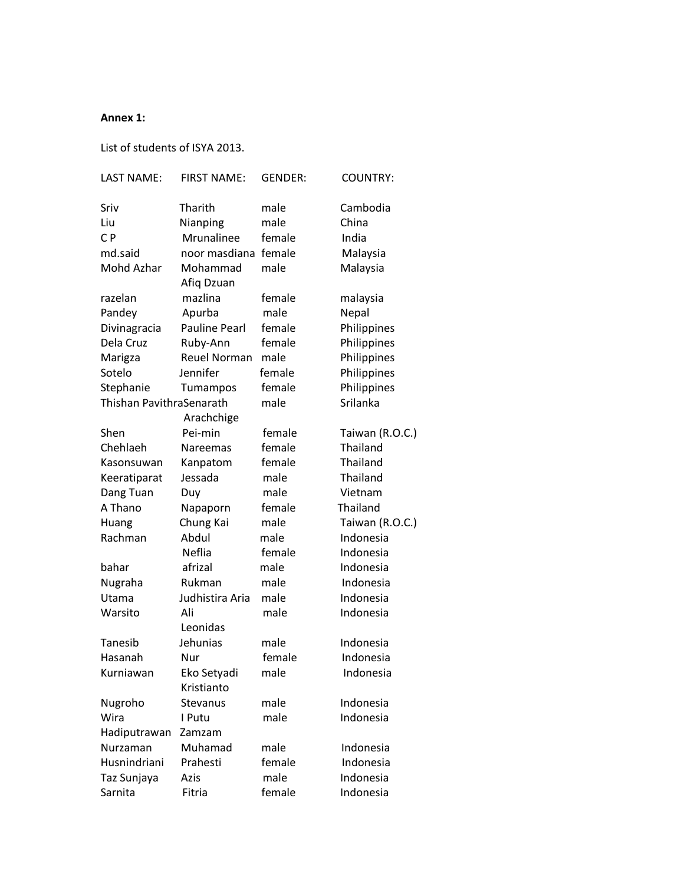#### **Annex 1:**

List of students of ISYA 2013.

| <b>LAST NAME:</b>        | <b>FIRST NAME:</b>     | <b>GENDER:</b> | <b>COUNTRY:</b> |
|--------------------------|------------------------|----------------|-----------------|
| Sriv                     | Tharith                | male           | Cambodia        |
| Liu                      | Nianping               | male           | China           |
| C <sub>P</sub>           | Mrunalinee             | female         | India           |
| md.said                  | noor masdiana female   |                | Malaysia        |
| Mohd Azhar               | Mohammad               | male           | Malaysia        |
|                          | Afig Dzuan             |                |                 |
| razelan                  | mazlina                | female         | malaysia        |
| Pandey                   | Apurba                 | male           | Nepal           |
| Divinagracia             | <b>Pauline Pearl</b>   | female         | Philippines     |
| Dela Cruz                | Ruby-Ann               | female         | Philippines     |
| Marigza                  | <b>Reuel Norman</b>    | male           | Philippines     |
| Sotelo                   | Jennifer               | female         | Philippines     |
| Stephanie                | Tumampos               | female         | Philippines     |
| Thishan PavithraSenarath |                        | male           | Srilanka        |
|                          | Arachchige             |                |                 |
| Shen                     | Pei-min                | female         | Taiwan (R.O.C.) |
| Chehlaeh                 | Nareemas               | female         | Thailand        |
| Kasonsuwan               | Kanpatom               | female         | Thailand        |
| Keeratiparat             | Jessada                | male           | Thailand        |
| Dang Tuan                | Duy                    | male           | Vietnam         |
| A Thano                  | Napaporn               | female         | Thailand        |
| Huang                    | Chung Kai              | male           | Taiwan (R.O.C.) |
| Rachman                  | Abdul                  | male           | Indonesia       |
|                          | Neflia                 | female         | Indonesia       |
| bahar                    | afrizal                | male           | Indonesia       |
|                          |                        | male           |                 |
| Nugraha                  | Rukman                 |                | Indonesia       |
| Utama                    | Judhistira Aria<br>Ali | male           | Indonesia       |
| Warsito                  | Leonidas               | male           | Indonesia       |
|                          | Jehunias               | male           | Indonesia       |
| Tanesib                  |                        |                | Indonesia       |
| Hasanah                  | Nur                    | female         |                 |
| Kurniawan                | Eko Setyadi            | male           | Indonesia       |
|                          | Kristianto             |                |                 |
| Nugroho                  | Stevanus               | male           | Indonesia       |
| Wira                     | I Putu                 | male           | Indonesia       |
| Hadiputrawan             | Zamzam                 |                |                 |
| Nurzaman                 | Muhamad                | male           | Indonesia       |
| Husnindriani             | Prahesti               | female         | Indonesia       |
| Taz Sunjaya              | Azis                   | male           | Indonesia       |
| Sarnita                  | Fitria                 | female         | Indonesia       |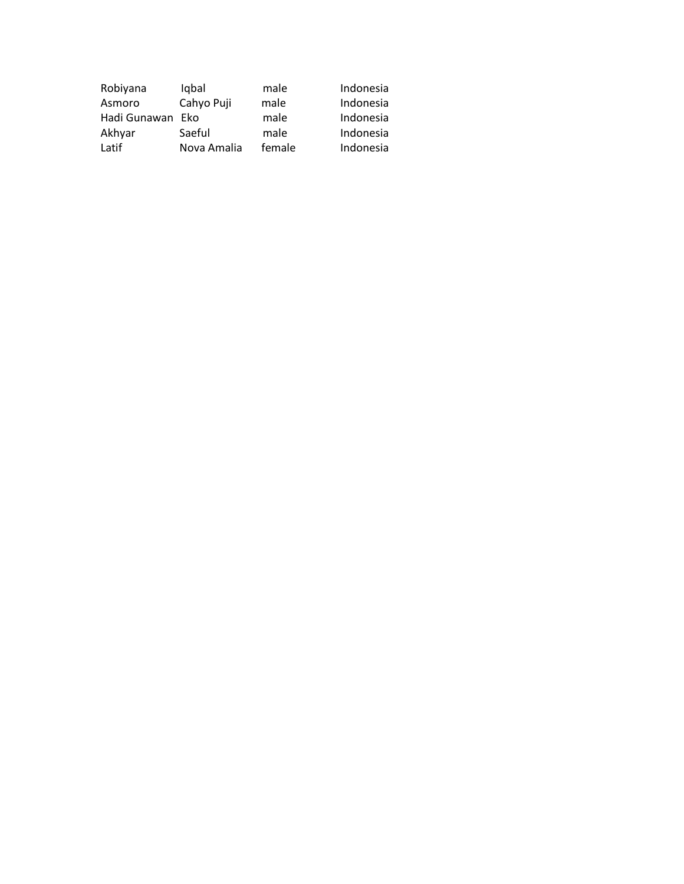| Robiyana     | Iqbal       | male   | Indonesia |
|--------------|-------------|--------|-----------|
| Asmoro       | Cahyo Puji  | male   | Indonesia |
| Hadi Gunawan | <b>Fko</b>  | male   | Indonesia |
| Akhyar       | Saeful      | male   | Indonesia |
| Latif        | Nova Amalia | female | Indonesia |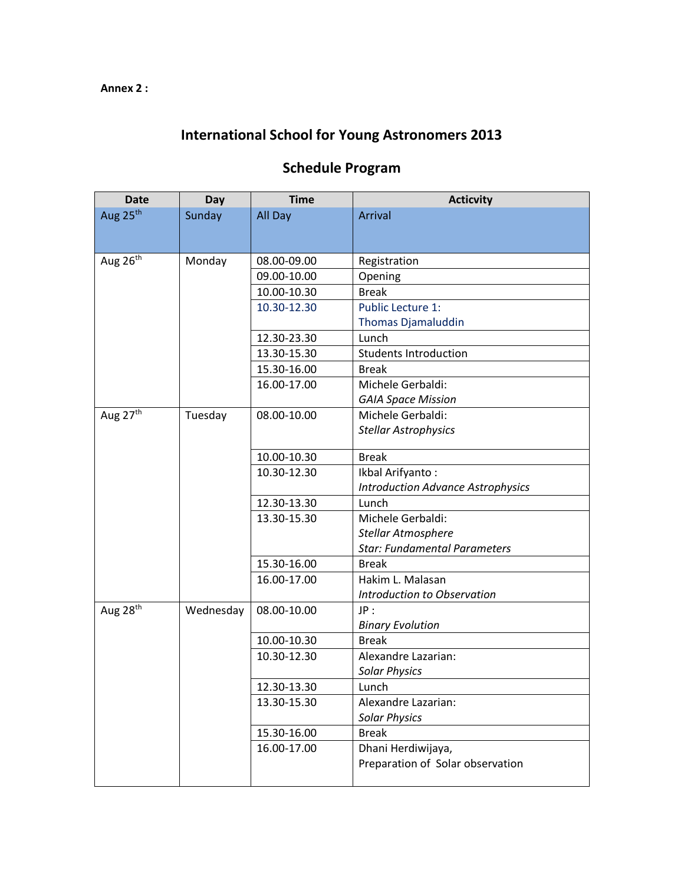# **International School for Young Astronomers 2013**

| <b>Date</b>          | <b>Day</b> | <b>Time</b> | <b>Acticvity</b>                         |
|----------------------|------------|-------------|------------------------------------------|
| Aug 25 <sup>th</sup> | Sunday     | All Day     | Arrival                                  |
|                      |            |             |                                          |
|                      |            |             |                                          |
| Aug $26th$           | Monday     | 08.00-09.00 | Registration                             |
|                      |            | 09.00-10.00 | Opening                                  |
|                      |            | 10.00-10.30 | <b>Break</b>                             |
|                      |            | 10.30-12.30 | <b>Public Lecture 1:</b>                 |
|                      |            |             | Thomas Djamaluddin                       |
|                      |            | 12.30-23.30 | Lunch                                    |
|                      |            | 13.30-15.30 | <b>Students Introduction</b>             |
|                      |            | 15.30-16.00 | <b>Break</b>                             |
|                      |            | 16.00-17.00 | Michele Gerbaldi:                        |
|                      |            |             | <b>GAIA Space Mission</b>                |
| Aug 27th             | Tuesday    | 08.00-10.00 | Michele Gerbaldi:                        |
|                      |            |             | <b>Stellar Astrophysics</b>              |
|                      |            | 10.00-10.30 | <b>Break</b>                             |
|                      |            | 10.30-12.30 | Ikbal Arifyanto:                         |
|                      |            |             | <b>Introduction Advance Astrophysics</b> |
|                      |            | 12.30-13.30 | Lunch                                    |
|                      |            | 13.30-15.30 | Michele Gerbaldi:                        |
|                      |            |             | Stellar Atmosphere                       |
|                      |            |             | <b>Star: Fundamental Parameters</b>      |
|                      |            | 15.30-16.00 | <b>Break</b>                             |
|                      |            | 16.00-17.00 | Hakim L. Malasan                         |
|                      |            |             | Introduction to Observation              |
| Aug 28 <sup>th</sup> | Wednesday  | 08.00-10.00 | JP:                                      |
|                      |            |             | <b>Binary Evolution</b>                  |
|                      |            | 10.00-10.30 | <b>Break</b>                             |
|                      |            | 10.30-12.30 | Alexandre Lazarian:                      |
|                      |            |             | <b>Solar Physics</b>                     |
|                      |            | 12.30-13.30 | Lunch                                    |
|                      |            | 13.30-15.30 | Alexandre Lazarian:                      |
|                      |            |             | <b>Solar Physics</b>                     |
|                      |            | 15.30-16.00 | <b>Break</b>                             |
|                      |            | 16.00-17.00 | Dhani Herdiwijaya,                       |
|                      |            |             | Preparation of Solar observation         |
|                      |            |             |                                          |

# **Schedule Program**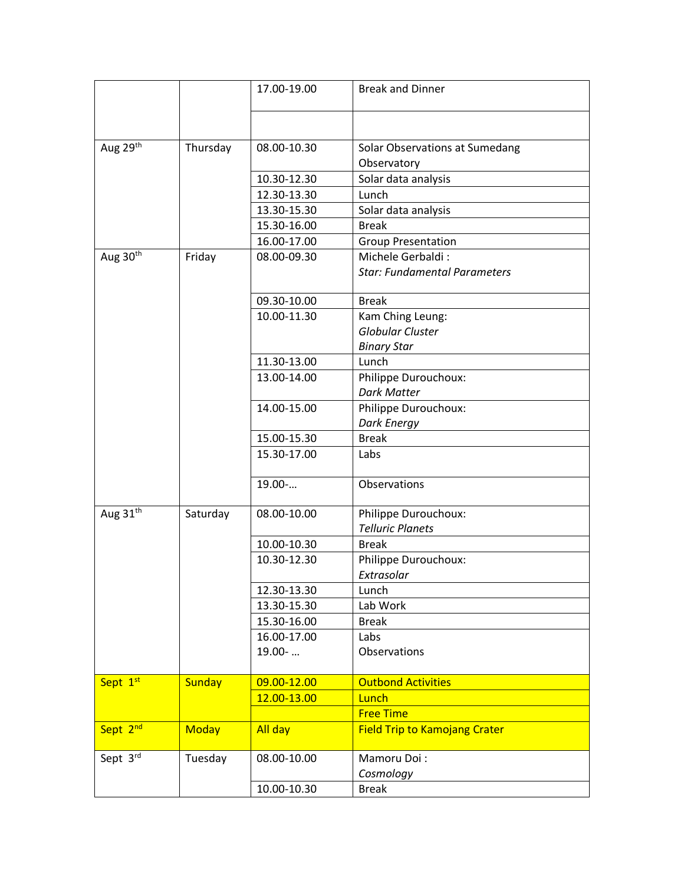|                      |               | 17.00-19.00 | <b>Break and Dinner</b>                         |
|----------------------|---------------|-------------|-------------------------------------------------|
|                      |               |             |                                                 |
| Aug 29th             | Thursday      | 08.00-10.30 | Solar Observations at Sumedang                  |
|                      |               |             | Observatory                                     |
|                      |               | 10.30-12.30 | Solar data analysis                             |
|                      |               | 12.30-13.30 | Lunch                                           |
|                      |               | 13.30-15.30 | Solar data analysis                             |
|                      |               | 15.30-16.00 | <b>Break</b>                                    |
|                      |               | 16.00-17.00 | <b>Group Presentation</b>                       |
| Aug 30th             | Friday        | 08.00-09.30 | Michele Gerbaldi:                               |
|                      |               |             | <b>Star: Fundamental Parameters</b>             |
|                      |               | 09.30-10.00 | <b>Break</b>                                    |
|                      |               | 10.00-11.30 | Kam Ching Leung:                                |
|                      |               |             | Globular Cluster                                |
|                      |               |             | <b>Binary Star</b>                              |
|                      |               | 11.30-13.00 | Lunch                                           |
|                      |               | 13.00-14.00 | Philippe Durouchoux:                            |
|                      |               |             | <b>Dark Matter</b>                              |
|                      |               | 14.00-15.00 | Philippe Durouchoux:                            |
|                      |               |             | <b>Dark Energy</b>                              |
|                      |               | 15.00-15.30 | <b>Break</b>                                    |
|                      |               | 15.30-17.00 | Labs                                            |
|                      |               | 19.00-      | Observations                                    |
| Aug 31 <sup>th</sup> | Saturday      | 08.00-10.00 | Philippe Durouchoux:<br><b>Telluric Planets</b> |
|                      |               | 10.00-10.30 | <b>Break</b>                                    |
|                      |               | 10.30-12.30 | Philippe Durouchoux:                            |
|                      |               |             | Extrasolar                                      |
|                      |               | 12.30-13.30 | Lunch                                           |
|                      |               | 13.30-15.30 | Lab Work                                        |
|                      |               | 15.30-16.00 | <b>Break</b>                                    |
|                      |               | 16.00-17.00 | Labs                                            |
|                      |               | 19.00-      | Observations                                    |
| Sept 1st             | <b>Sunday</b> | 09.00-12.00 | <b>Outbond Activities</b>                       |
|                      |               | 12.00-13.00 | Lunch                                           |
|                      |               |             | <b>Free Time</b>                                |
| Sept 2 <sup>nd</sup> | <b>Moday</b>  | All day     | <b>Field Trip to Kamojang Crater</b>            |
| Sept 3rd             | Tuesday       | 08.00-10.00 | Mamoru Doi:                                     |
|                      |               |             | Cosmology                                       |
|                      |               | 10.00-10.30 | <b>Break</b>                                    |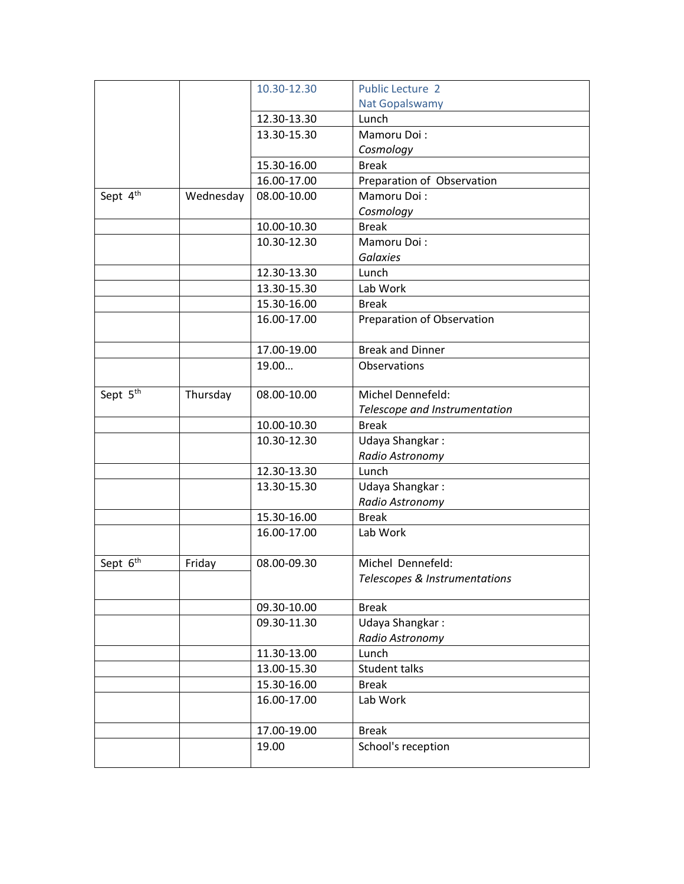|                      |           | 10.30-12.30 | <b>Public Lecture 2</b>       |
|----------------------|-----------|-------------|-------------------------------|
|                      |           |             | <b>Nat Gopalswamy</b>         |
|                      |           | 12.30-13.30 | Lunch                         |
|                      |           | 13.30-15.30 | Mamoru Doi:                   |
|                      |           |             | Cosmology                     |
|                      |           | 15.30-16.00 | <b>Break</b>                  |
|                      |           | 16.00-17.00 | Preparation of Observation    |
| Sept 4 <sup>th</sup> | Wednesday | 08.00-10.00 | Mamoru Doi:                   |
|                      |           |             | Cosmology                     |
|                      |           | 10.00-10.30 | <b>Break</b>                  |
|                      |           | 10.30-12.30 | Mamoru Doi:                   |
|                      |           |             | <b>Galaxies</b>               |
|                      |           | 12.30-13.30 | Lunch                         |
|                      |           | 13.30-15.30 | Lab Work                      |
|                      |           | 15.30-16.00 | <b>Break</b>                  |
|                      |           | 16.00-17.00 | Preparation of Observation    |
|                      |           | 17.00-19.00 | <b>Break and Dinner</b>       |
|                      |           | 19.00       | Observations                  |
|                      |           |             |                               |
| Sept 5 <sup>th</sup> | Thursday  | 08.00-10.00 | Michel Dennefeld:             |
|                      |           |             | Telescope and Instrumentation |
|                      |           | 10.00-10.30 | <b>Break</b>                  |
|                      |           | 10.30-12.30 | Udaya Shangkar:               |
|                      |           |             | Radio Astronomy               |
|                      |           | 12.30-13.30 | Lunch                         |
|                      |           | 13.30-15.30 | Udaya Shangkar:               |
|                      |           |             | Radio Astronomy               |
|                      |           | 15.30-16.00 | <b>Break</b>                  |
|                      |           | 16.00-17.00 | Lab Work                      |
|                      |           |             |                               |
| Sept 6 <sup>th</sup> | Friday    | 08.00-09.30 | Michel Dennefeld:             |
|                      |           |             | Telescopes & Instrumentations |
|                      |           |             |                               |
|                      |           | 09.30-10.00 | <b>Break</b>                  |
|                      |           | 09.30-11.30 | Udaya Shangkar:               |
|                      |           |             | Radio Astronomy               |
|                      |           | 11.30-13.00 | Lunch                         |
|                      |           | 13.00-15.30 | Student talks                 |
|                      |           | 15.30-16.00 | <b>Break</b>                  |
|                      |           | 16.00-17.00 | Lab Work                      |
|                      |           | 17.00-19.00 | <b>Break</b>                  |
|                      |           | 19.00       | School's reception            |
|                      |           |             |                               |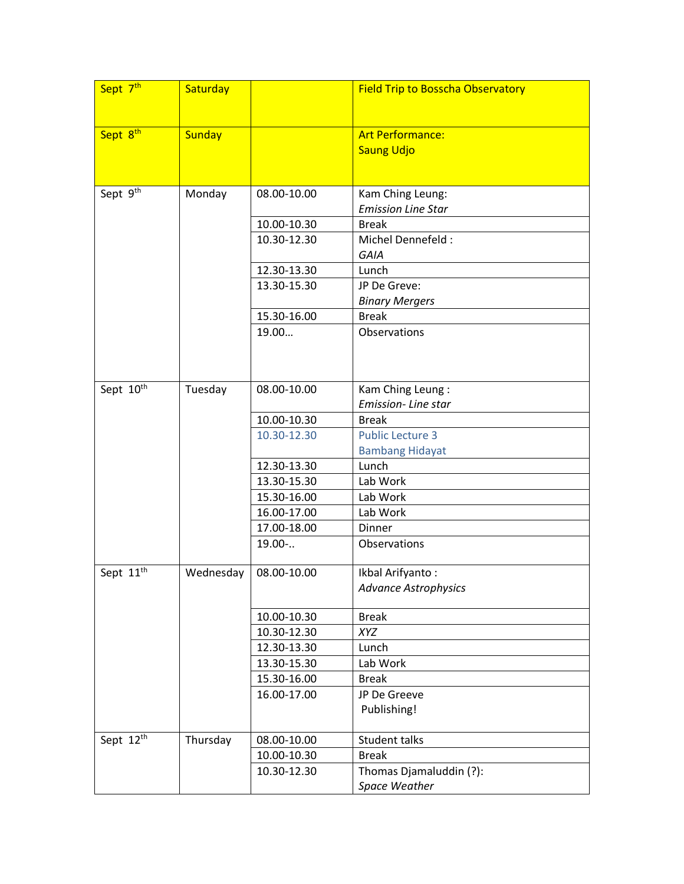| Sept 7 <sup>th</sup>  | Saturday      |             | <b>Field Trip to Bosscha Observatory</b> |
|-----------------------|---------------|-------------|------------------------------------------|
| Sept 8th              | <b>Sunday</b> |             | <b>Art Performance:</b>                  |
|                       |               |             | <b>Saung Udjo</b>                        |
|                       |               |             |                                          |
| Sept 9 <sup>th</sup>  | Monday        | 08.00-10.00 | Kam Ching Leung:                         |
|                       |               |             | <b>Emission Line Star</b>                |
|                       |               | 10.00-10.30 | <b>Break</b>                             |
|                       |               | 10.30-12.30 | Michel Dennefeld:                        |
|                       |               |             | GAIA                                     |
|                       |               | 12.30-13.30 | Lunch                                    |
|                       |               | 13.30-15.30 | JP De Greve:                             |
|                       |               |             | <b>Binary Mergers</b>                    |
|                       |               | 15.30-16.00 | <b>Break</b>                             |
|                       |               | 19.00       | Observations                             |
|                       |               |             |                                          |
| Sept 10 <sup>th</sup> | Tuesday       | 08.00-10.00 | Kam Ching Leung:                         |
|                       |               |             | Emission-Line star                       |
|                       |               | 10.00-10.30 | <b>Break</b>                             |
|                       |               | 10.30-12.30 | <b>Public Lecture 3</b>                  |
|                       |               |             | <b>Bambang Hidayat</b>                   |
|                       |               | 12.30-13.30 | Lunch                                    |
|                       |               | 13.30-15.30 | Lab Work                                 |
|                       |               | 15.30-16.00 | Lab Work                                 |
|                       |               | 16.00-17.00 | Lab Work                                 |
|                       |               | 17.00-18.00 | Dinner                                   |
|                       |               | $19.00-.$   | Observations                             |
| Sept 11 <sup>th</sup> | Wednesday     | 08.00-10.00 | Ikbal Arifyanto:                         |
|                       |               |             | <b>Advance Astrophysics</b>              |
|                       |               |             |                                          |
|                       |               | 10.00-10.30 | <b>Break</b>                             |
|                       |               | 10.30-12.30 | <b>XYZ</b>                               |
|                       |               | 12.30-13.30 | Lunch                                    |
|                       |               | 13.30-15.30 | Lab Work                                 |
|                       |               | 15.30-16.00 | <b>Break</b>                             |
|                       |               | 16.00-17.00 | JP De Greeve                             |
|                       |               |             | Publishing!                              |
| Sept 12th             | Thursday      | 08.00-10.00 | Student talks                            |
|                       |               | 10.00-10.30 | <b>Break</b>                             |
|                       |               | 10.30-12.30 | Thomas Djamaluddin (?):                  |
|                       |               |             | Space Weather                            |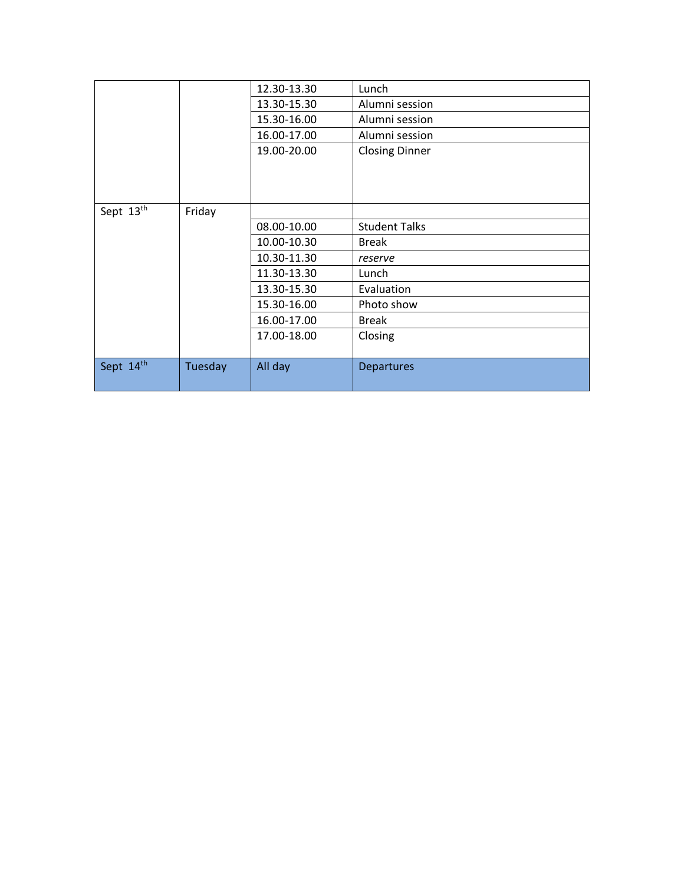|           |         | 12.30-13.30 | Lunch                 |  |  |  |  |
|-----------|---------|-------------|-----------------------|--|--|--|--|
|           |         | 13.30-15.30 | Alumni session        |  |  |  |  |
|           |         | 15.30-16.00 | Alumni session        |  |  |  |  |
|           |         | 16.00-17.00 | Alumni session        |  |  |  |  |
|           |         | 19.00-20.00 | <b>Closing Dinner</b> |  |  |  |  |
|           |         |             |                       |  |  |  |  |
|           |         |             |                       |  |  |  |  |
|           |         |             |                       |  |  |  |  |
| Sept 13th | Friday  |             |                       |  |  |  |  |
|           |         | 08.00-10.00 | <b>Student Talks</b>  |  |  |  |  |
|           |         | 10.00-10.30 | <b>Break</b>          |  |  |  |  |
|           |         | 10.30-11.30 | reserve               |  |  |  |  |
|           |         | 11.30-13.30 | Lunch                 |  |  |  |  |
|           |         | 13.30-15.30 | Evaluation            |  |  |  |  |
|           |         | 15.30-16.00 | Photo show            |  |  |  |  |
|           |         | 16.00-17.00 | <b>Break</b>          |  |  |  |  |
|           |         | 17.00-18.00 | Closing               |  |  |  |  |
|           |         |             |                       |  |  |  |  |
| Sept 14th | Tuesday | All day     | <b>Departures</b>     |  |  |  |  |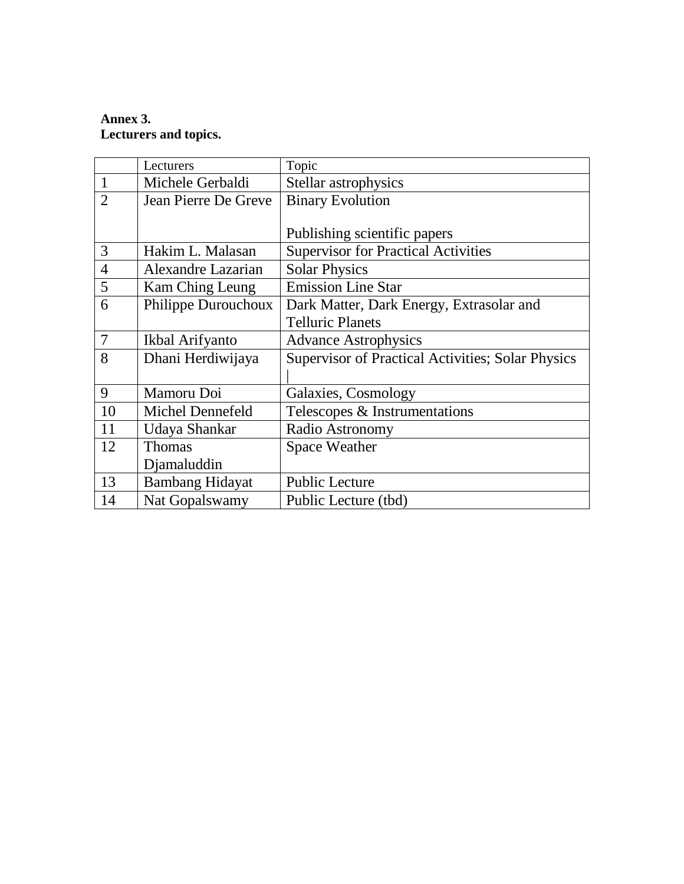# **Annex 3. Lecturers and topics.**

|                | Lecturers              | Topic                                             |
|----------------|------------------------|---------------------------------------------------|
| $\mathbf{1}$   | Michele Gerbaldi       | Stellar astrophysics                              |
| $\overline{2}$ | Jean Pierre De Greve   | <b>Binary Evolution</b>                           |
|                |                        |                                                   |
|                |                        | Publishing scientific papers                      |
| 3              | Hakim L. Malasan       | <b>Supervisor for Practical Activities</b>        |
| $\overline{4}$ | Alexandre Lazarian     | <b>Solar Physics</b>                              |
| 5              | Kam Ching Leung        | <b>Emission Line Star</b>                         |
| 6              | Philippe Durouchoux    | Dark Matter, Dark Energy, Extrasolar and          |
|                |                        | <b>Telluric Planets</b>                           |
| $\overline{7}$ | Ikbal Arifyanto        | <b>Advance Astrophysics</b>                       |
| 8              | Dhani Herdiwijaya      | Supervisor of Practical Activities; Solar Physics |
|                |                        |                                                   |
| 9              | Mamoru Doi             | Galaxies, Cosmology                               |
| 10             | Michel Dennefeld       | Telescopes & Instrumentations                     |
| 11             | Udaya Shankar          | Radio Astronomy                                   |
| 12             | <b>Thomas</b>          | <b>Space Weather</b>                              |
|                | Djamaluddin            |                                                   |
| 13             | <b>Bambang Hidayat</b> | <b>Public Lecture</b>                             |
| 14             | Nat Gopalswamy         | Public Lecture (tbd)                              |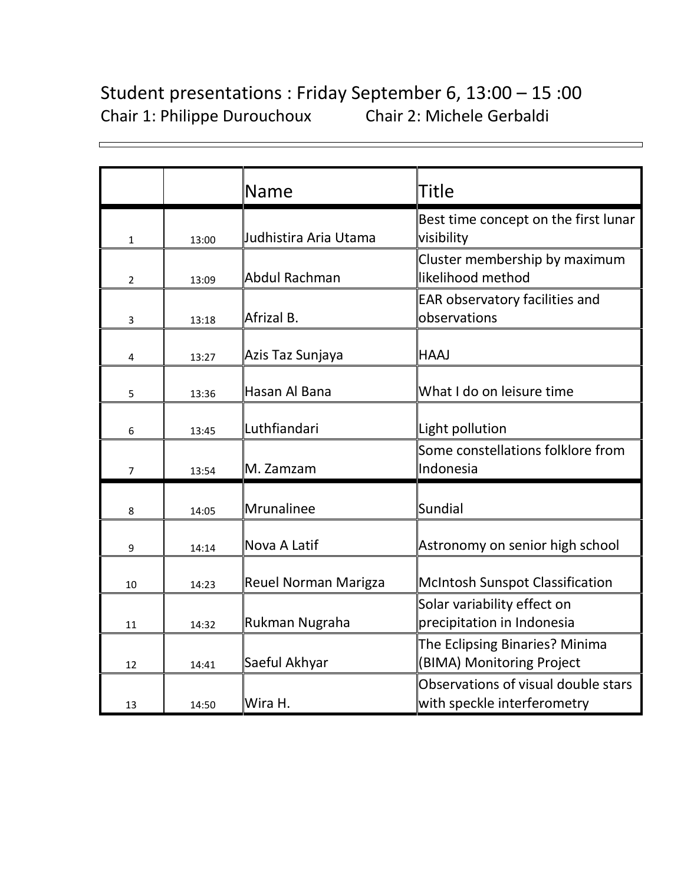# Student presentations : Friday September 6, 13:00 – 15 :00 Chair 1: Philippe Durouchoux Chair 2: Michele Gerbaldi

|                |       | Name                        | Title                                                              |
|----------------|-------|-----------------------------|--------------------------------------------------------------------|
| 1              | 13:00 | Judhistira Aria Utama       | Best time concept on the first lunar<br>visibility                 |
| $\overline{2}$ | 13:09 | <b>Abdul Rachman</b>        | Cluster membership by maximum<br>likelihood method                 |
| 3              | 13:18 | Afrizal B.                  | EAR observatory facilities and<br>observations                     |
| 4              | 13:27 | Azis Taz Sunjaya            | <b>HAAJ</b>                                                        |
| 5              | 13:36 | Hasan Al Bana               | What I do on leisure time                                          |
| 6              | 13:45 | Luthfiandari                | Light pollution                                                    |
| $\overline{7}$ | 13:54 | M. Zamzam                   | Some constellations folklore from<br>Indonesia                     |
| 8              | 14:05 | Mrunalinee                  | <b>Sundial</b>                                                     |
| 9              | 14:14 | Nova A Latif                | Astronomy on senior high school                                    |
| 10             | 14:23 | <b>Reuel Norman Marigza</b> | <b>McIntosh Sunspot Classification</b>                             |
| 11             | 14:32 | Rukman Nugraha              | Solar variability effect on<br>precipitation in Indonesia          |
| 12             | 14:41 | Saeful Akhyar               | The Eclipsing Binaries? Minima<br>(BIMA) Monitoring Project        |
| 13             | 14:50 | Wira H.                     | Observations of visual double stars<br>with speckle interferometry |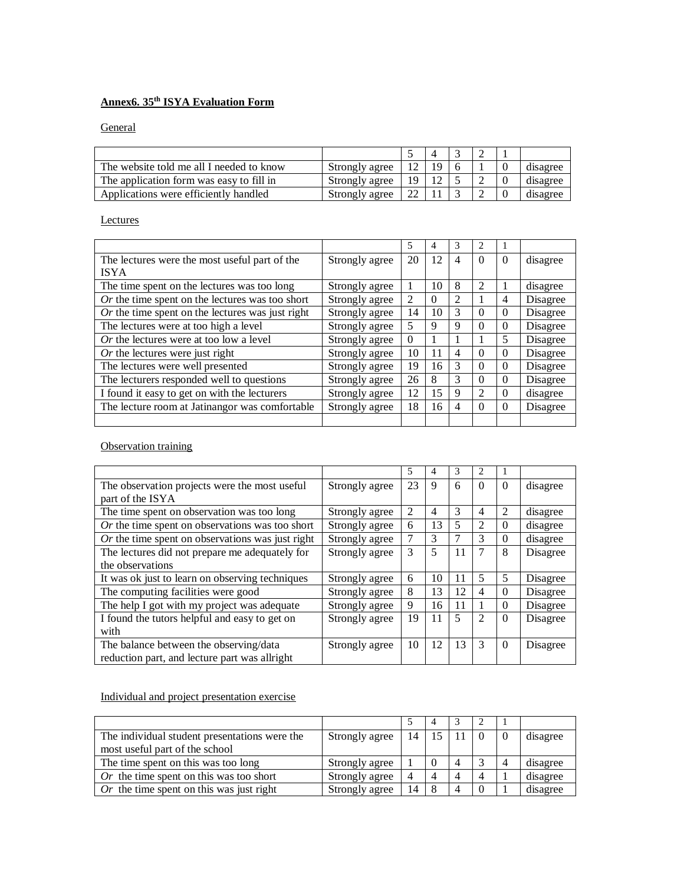# **Annex6. 35th ISYA Evaluation Form**

**General** 

| The website told me all I needed to know | Strongly agree | 12. | ۱Q |  | disagree |
|------------------------------------------|----------------|-----|----|--|----------|
| The application form was easy to fill in | Strongly agree | 19  |    |  | disagree |
| Applications were efficiently handled    | Strongly agree | 22  |    |  | disagree |

# **Lectures**

|                                                    |                | 5        | 4        | 3 | 2        |          |          |
|----------------------------------------------------|----------------|----------|----------|---|----------|----------|----------|
| The lectures were the most useful part of the      | Strongly agree | 20       | 12       | 4 | $\Omega$ | $\Omega$ | disagree |
| <b>ISYA</b>                                        |                |          |          |   |          |          |          |
| The time spent on the lectures was too long        | Strongly agree |          | 10       | 8 | 2        | 1        | disagree |
| $Or$ the time spent on the lectures was too short  | Strongly agree | 2        | $\Omega$ | 2 |          | 4        | Disagree |
| $Or$ the time spent on the lectures was just right | Strongly agree | 14       | 10       | 3 | $\Omega$ | $\Omega$ | Disagree |
| The lectures were at too high a level              | Strongly agree | 5        | 9        | 9 | $\Omega$ | $\Omega$ | Disagree |
| Or the lectures were at too low a level            | Strongly agree | $\Omega$ |          |   |          | 5        | Disagree |
| $Or$ the lectures were just right                  | Strongly agree | 10       | 11       | 4 | $\Omega$ | $\Omega$ | Disagree |
| The lectures were well presented                   | Strongly agree | 19       | 16       | 3 | $\Omega$ | $\Omega$ | Disagree |
| The lecturers responded well to questions          | Strongly agree | 26       | 8        | 3 | $\Omega$ | $\Omega$ | Disagree |
| I found it easy to get on with the lecturers       | Strongly agree | 12       | 15       | 9 | 2        | $\Omega$ | disagree |
| The lecture room at Jatinangor was comfortable     | Strongly agree | 18       | 16       | 4 | $\Omega$ | $\Omega$ | Disagree |
|                                                    |                |          |          |   |          |          |          |

**Observation training** 

|                                                   |                | 5              | 4  | 3  | $\overline{c}$ |          |          |
|---------------------------------------------------|----------------|----------------|----|----|----------------|----------|----------|
| The observation projects were the most useful.    | Strongly agree | 23             | 9  | 6  | $\Omega$       | $\Omega$ | disagree |
| part of the ISYA                                  |                |                |    |    |                |          |          |
| The time spent on observation was too long        | Strongly agree | $\overline{2}$ | 4  | 3  | 4              | 2        | disagree |
| $Or$ the time spent on observations was too short | Strongly agree | 6              | 13 | 5  | $\mathfrak{D}$ | $\Omega$ | disagree |
| Or the time spent on observations was just right  | Strongly agree |                | 3  | 7  | 3              | $\Omega$ | disagree |
| The lectures did not prepare me adequately for    | Strongly agree | 3              | 5  | 11 | 7              | 8        | Disagree |
| the observations                                  |                |                |    |    |                |          |          |
| It was ok just to learn on observing techniques   | Strongly agree | 6              | 10 | 11 | 5              | 5        | Disagree |
| The computing facilities were good                | Strongly agree | 8              | 13 | 12 | 4              | $\Omega$ | Disagree |
| The help I got with my project was adequate       | Strongly agree | 9              | 16 | 11 |                | $\Omega$ | Disagree |
| I found the tutors helpful and easy to get on     | Strongly agree | 19             | 11 | 5  | $\overline{2}$ | $\Omega$ | Disagree |
| with                                              |                |                |    |    |                |          |          |
| The balance between the observing/data            | Strongly agree | 10             | 12 | 13 | 3              | $\Omega$ | Disagree |
| reduction part, and lecture part was allright     |                |                |    |    |                |          |          |

Individual and project presentation exercise

|                                               |                |    | 4   |   |   |          |
|-----------------------------------------------|----------------|----|-----|---|---|----------|
| The individual student presentations were the | Strongly agree | 14 | .15 |   |   | disagree |
| most useful part of the school                |                |    |     |   |   |          |
| The time spent on this was too long           | Strongly agree |    |     | 4 |   | disagree |
| Or the time spent on this was too short       | Strongly agree |    |     | Δ | 4 | disagree |
| Or the time spent on this was just right      | Strongly agree | 14 | -8  | 4 |   | disagree |